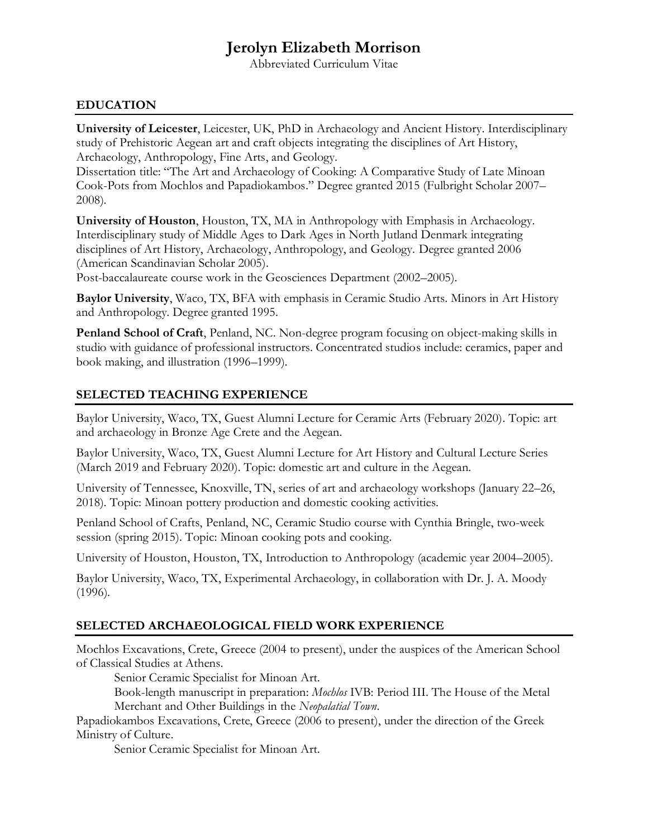# **Jerolyn Elizabeth Morrison**

Abbreviated Curriculum Vitae

### **EDUCATION**

**University of Leicester**, Leicester, UK, PhD in Archaeology and Ancient History. Interdisciplinary study of Prehistoric Aegean art and craft objects integrating the disciplines of Art History, Archaeology, Anthropology, Fine Arts, and Geology.

Dissertation title: "The Art and Archaeology of Cooking: A Comparative Study of Late Minoan Cook-Pots from Mochlos and Papadiokambos." Degree granted 2015 (Fulbright Scholar 2007– 2008).

**University of Houston**, Houston, TX, MA in Anthropology with Emphasis in Archaeology. Interdisciplinary study of Middle Ages to Dark Ages in North Jutland Denmark integrating disciplines of Art History, Archaeology, Anthropology, and Geology. Degree granted 2006 (American Scandinavian Scholar 2005).

Post-baccalaureate course work in the Geosciences Department (2002–2005).

**Baylor University**, Waco, TX, BFA with emphasis in Ceramic Studio Arts. Minors in Art History and Anthropology. Degree granted 1995.

**Penland School of Craft**, Penland, NC. Non-degree program focusing on object-making skills in studio with guidance of professional instructors. Concentrated studios include: ceramics, paper and book making, and illustration (1996–1999).

### **SELECTED TEACHING EXPERIENCE**

Baylor University, Waco, TX, Guest Alumni Lecture for Ceramic Arts (February 2020). Topic: art and archaeology in Bronze Age Crete and the Aegean.

Baylor University, Waco, TX, Guest Alumni Lecture for Art History and Cultural Lecture Series (March 2019 and February 2020). Topic: domestic art and culture in the Aegean.

University of Tennessee, Knoxville, TN, series of art and archaeology workshops (January 22–26, 2018). Topic: Minoan pottery production and domestic cooking activities.

Penland School of Crafts, Penland, NC, Ceramic Studio course with Cynthia Bringle, two-week session (spring 2015). Topic: Minoan cooking pots and cooking.

University of Houston, Houston, TX, Introduction to Anthropology (academic year 2004–2005).

Baylor University, Waco, TX, Experimental Archaeology, in collaboration with Dr. J. A. Moody (1996).

#### **SELECTED ARCHAEOLOGICAL FIELD WORK EXPERIENCE**

Mochlos Excavations, Crete, Greece (2004 to present), under the auspices of the American School of Classical Studies at Athens.

Senior Ceramic Specialist for Minoan Art.

Book-length manuscript in preparation: *Mochlos* IVB: Period III. The House of the Metal Merchant and Other Buildings in the *Neopalatial Town*.

Papadiokambos Excavations, Crete, Greece (2006 to present), under the direction of the Greek Ministry of Culture.

Senior Ceramic Specialist for Minoan Art.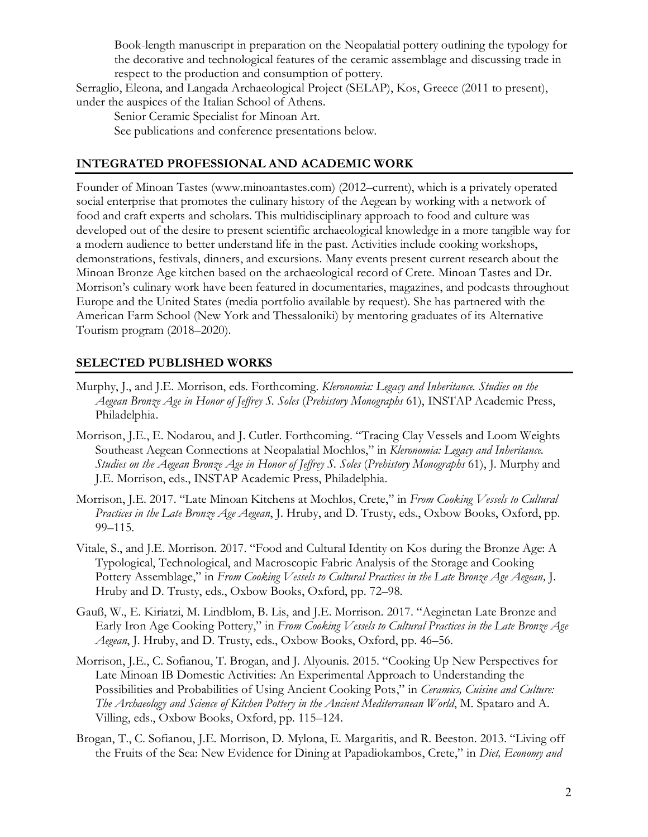Book-length manuscript in preparation on the Neopalatial pottery outlining the typology for the decorative and technological features of the ceramic assemblage and discussing trade in respect to the production and consumption of pottery.

Serraglio, Eleona, and Langada Archaeological Project (SELAP), Kos, Greece (2011 to present), under the auspices of the Italian School of Athens.

Senior Ceramic Specialist for Minoan Art. See publications and conference presentations below.

## **INTEGRATED PROFESSIONAL AND ACADEMIC WORK**

Founder of Minoan Tastes [\(www.minoantastes.com\)](http://www.minoantastes.com/) (2012–current), which is a privately operated social enterprise that promotes the culinary history of the Aegean by working with a network of food and craft experts and scholars. This multidisciplinary approach to food and culture was developed out of the desire to present scientific archaeological knowledge in a more tangible way for a modern audience to better understand life in the past. Activities include cooking workshops, demonstrations, festivals, dinners, and excursions. Many events present current research about the Minoan Bronze Age kitchen based on the archaeological record of Crete. Minoan Tastes and Dr. Morrison's culinary work have been featured in documentaries, magazines, and podcasts throughout Europe and the United States (media portfolio available by request). She has partnered with the American Farm School (New York and Thessaloniki) by mentoring graduates of its Alternative Tourism program (2018–2020).

# **SELECTED PUBLISHED WORKS**

- Murphy, J., and J.E. Morrison, eds. Forthcoming. *Kleronomia: Legacy and Inheritance. Studies on the Aegean Bronze Age in Honor of Jeffrey S. Soles* (*Prehistory Monographs* 61), INSTAP Academic Press, Philadelphia.
- Morrison, J.E., E. Nodarou, and J. Cutler. Forthcoming. "Tracing Clay Vessels and Loom Weights Southeast Aegean Connections at Neopalatial Mochlos," in *Kleronomia: Legacy and Inheritance. Studies on the Aegean Bronze Age in Honor of Jeffrey S. Soles* (*Prehistory Monographs* 61), J. Murphy and J.E. Morrison, eds., INSTAP Academic Press, Philadelphia.
- Morrison, J.E. 2017. "Late Minoan Kitchens at Mochlos, Crete," in *From Cooking Vessels to Cultural Practices in the Late Bronze Age Aegean*, J. Hruby, and D. Trusty, eds., Oxbow Books, Oxford, pp. 99–115.
- Vitale, S., and J.E. Morrison. 2017. "Food and Cultural Identity on Kos during the Bronze Age: A Typological, Technological, and Macroscopic Fabric Analysis of the Storage and Cooking Pottery Assemblage," in *From Cooking Vessels to Cultural Practices in the Late Bronze Age Aegean,* J. Hruby and D. Trusty, eds., Oxbow Books, Oxford, pp. 72–98.
- Gauß, W., E. Kiriatzi, M. Lindblom, B. Lis, and J.E. Morrison. 2017. "Aeginetan Late Bronze and Early Iron Age Cooking Pottery," in *From Cooking Vessels to Cultural Practices in the Late Bronze Age Aegean*, J. Hruby, and D. Trusty, eds., Oxbow Books, Oxford, pp. 46–56.
- Morrison, J.E., C. Sofianou, T. Brogan, and J. Alyounis. 2015. "Cooking Up New Perspectives for Late Minoan IB Domestic Activities: An Experimental Approach to Understanding the Possibilities and Probabilities of Using Ancient Cooking Pots," in *Ceramics, Cuisine and Culture: The Archaeology and Science of Kitchen Pottery in the Ancient Mediterranean World*, M. Spataro and A. Villing, eds., Oxbow Books, Oxford, pp. 115–124.
- Brogan, T., C. Sofianou, J.E. Morrison, D. Mylona, E. Margaritis, and R. Beeston. 2013. "Living off the Fruits of the Sea: New Evidence for Dining at Papadiokambos, Crete," in *Diet, Economy and*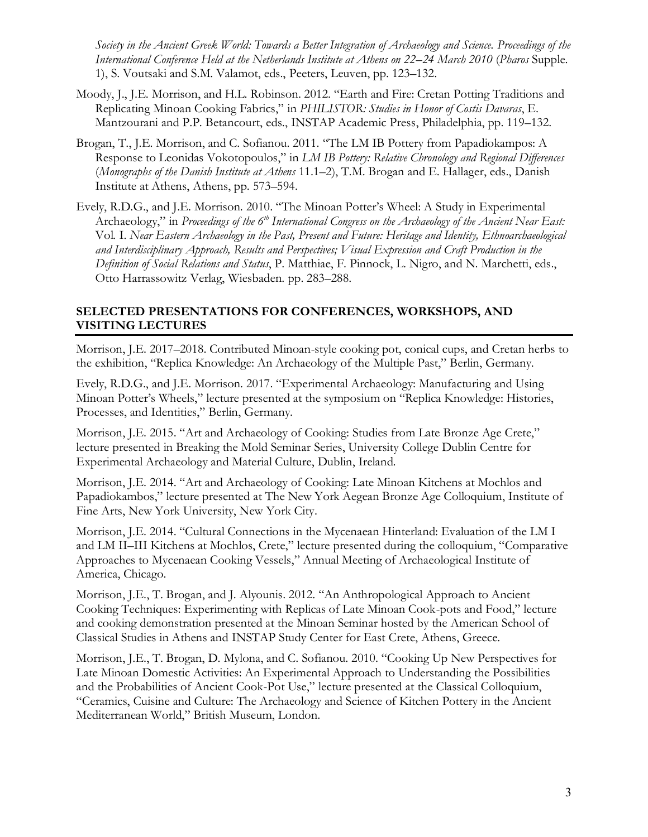*Society in the Ancient Greek World: Towards a Better Integration of Archaeology and Science. Proceedings of the International Conference Held at the Netherlands Institute at Athens on 22–24 March 2010* (*Pharos* Supple. 1), S. Voutsaki and S.M. Valamot, eds., Peeters, Leuven, pp. 123–132.

- Moody, J., J.E. Morrison, and H.L. Robinson. 2012. "Earth and Fire: Cretan Potting Traditions and Replicating Minoan Cooking Fabrics," in *PHILISTOR: Studies in Honor of Costis Davaras*, E. Mantzourani and P.P. Betancourt, eds., INSTAP Academic Press, Philadelphia, pp. 119–132.
- Brogan, T., J.E. Morrison, and C. Sofianou. 2011. "The LM IB Pottery from Papadiokampos: A Response to Leonidas Vokotopoulos," in *LM IB Pottery: Relative Chronology and Regional Differences* (*Monographs of the Danish Institute at Athens* 11.1–2), T.M. Brogan and E. Hallager, eds., Danish Institute at Athens, Athens, pp. 573–594.
- Evely, R.D.G., and J.E. Morrison. 2010. "The Minoan Potter's Wheel: A Study in Experimental Archaeology," in *Proceedings of the 6th International Congress on the Archaeology of the Ancient Near East:* Vol*.* I. *Near Eastern Archaeology in the Past, Present and Future: Heritage and Identity, Ethnoarchaeological and Interdisciplinary Approach, Results and Perspectives; Visual Expression and Craft Production in the Definition of Social Relations and Status*, P. Matthiae, F. Pinnock, L. Nigro, and N. Marchetti, eds., Otto Harrassowitz Verlag, Wiesbaden. pp. 283–288.

## **SELECTED PRESENTATIONS FOR CONFERENCES, WORKSHOPS, AND VISITING LECTURES**

Morrison, J.E. 2017–2018. Contributed Minoan-style cooking pot, conical cups, and Cretan herbs to the exhibition, "Replica Knowledge: An Archaeology of the Multiple Past," Berlin, Germany.

Evely, R.D.G., and J.E. Morrison. 2017. "Experimental Archaeology: Manufacturing and Using Minoan Potter's Wheels," lecture presented at the symposium on "Replica Knowledge: Histories, Processes, and Identities," Berlin, Germany.

Morrison, J.E. 2015. "Art and Archaeology of Cooking: Studies from Late Bronze Age Crete," lecture presented in Breaking the Mold Seminar Series, University College Dublin Centre for Experimental Archaeology and Material Culture, Dublin, Ireland.

Morrison, J.E. 2014. "Art and Archaeology of Cooking: Late Minoan Kitchens at Mochlos and Papadiokambos," lecture presented at The New York Aegean Bronze Age Colloquium, Institute of Fine Arts, New York University, New York City.

Morrison, J.E. 2014. "Cultural Connections in the Mycenaean Hinterland: Evaluation of the LM I and LM II–III Kitchens at Mochlos, Crete," lecture presented during the colloquium, "Comparative Approaches to Mycenaean Cooking Vessels," Annual Meeting of Archaeological Institute of America, Chicago.

Morrison, J.E., T. Brogan, and J. Alyounis. 2012. "An Anthropological Approach to Ancient Cooking Techniques: Experimenting with Replicas of Late Minoan Cook-pots and Food," lecture and cooking demonstration presented at the Minoan Seminar hosted by the American School of Classical Studies in Athens and INSTAP Study Center for East Crete, Athens, Greece.

Morrison, J.E., T. Brogan, D. Mylona, and C. Sofianou. 2010. "Cooking Up New Perspectives for Late Minoan Domestic Activities: An Experimental Approach to Understanding the Possibilities and the Probabilities of Ancient Cook-Pot Use," lecture presented at the Classical Colloquium, "Ceramics, Cuisine and Culture: The Archaeology and Science of Kitchen Pottery in the Ancient Mediterranean World," British Museum, London.